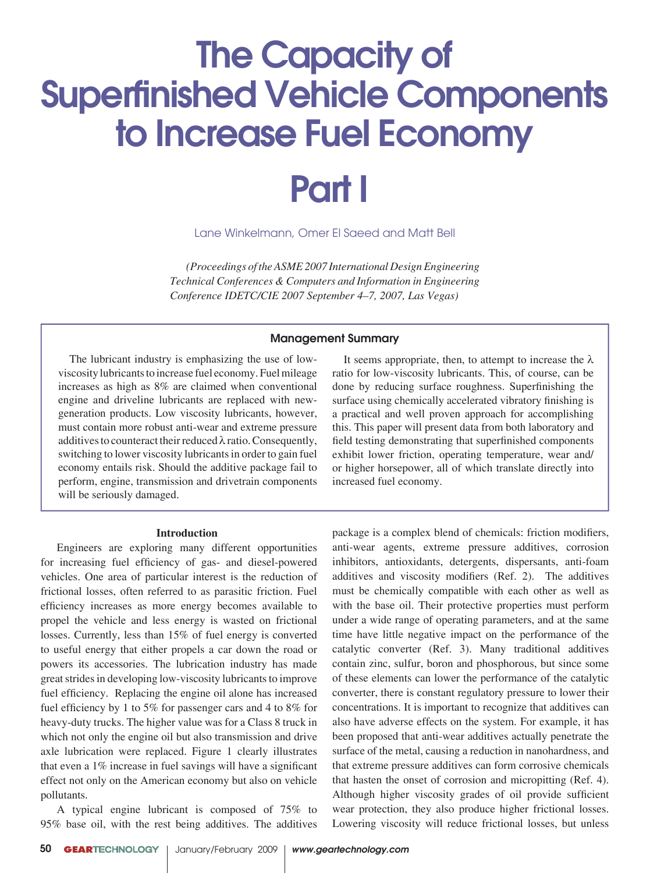# The Capacity of **Superfinished Vehicle Components** to Increase Fuel Economy

## Part I

Lane Winkelmann, Omer El Saeed and Matt Bell

*(Proceedings of the ASME 2007 International Design Engineering Technical Conferences & Computers and Information in Engineering Conference IDETC/CIE 2007 September 4–7, 2007, Las Vegas)* 

#### Management Summary

 The lubricant industry is emphasizing the use of lowviscosity lubricants to increase fuel economy. Fuel mileage increases as high as 8% are claimed when conventional engine and driveline lubricants are replaced with newgeneration products. Low viscosity lubricants, however, must contain more robust anti-wear and extreme pressure additives to counteract their reduced  $\lambda$  ratio. Consequently, switching to lower viscosity lubricants in order to gain fuel economy entails risk. Should the additive package fail to perform, engine, transmission and drivetrain components will be seriously damaged.

#### **Introduction**

Engineers are exploring many different opportunities for increasing fuel efficiency of gas- and diesel-powered vehicles. One area of particular interest is the reduction of frictional losses, often referred to as parasitic friction. Fuel efficiency increases as more energy becomes available to propel the vehicle and less energy is wasted on frictional losses. Currently, less than 15% of fuel energy is converted to useful energy that either propels a car down the road or powers its accessories. The lubrication industry has made great strides in developing low-viscosity lubricants to improve fuel efficiency. Replacing the engine oil alone has increased fuel efficiency by 1 to 5% for passenger cars and 4 to 8% for heavy-duty trucks. The higher value was for a Class 8 truck in which not only the engine oil but also transmission and drive axle lubrication were replaced. Figure 1 clearly illustrates that even a  $1\%$  increase in fuel savings will have a significant effect not only on the American economy but also on vehicle pollutants.

A typical engine lubricant is composed of 75% to 95% base oil, with the rest being additives. The additives

It seems appropriate, then, to attempt to increase the  $\lambda$ ratio for low-viscosity lubricants. This, of course, can be done by reducing surface roughness. Superfinishing the surface using chemically accelerated vibratory finishing is a practical and well proven approach for accomplishing this. This paper will present data from both laboratory and field testing demonstrating that superfinished components exhibit lower friction, operating temperature, wear and/ or higher horsepower, all of which translate directly into increased fuel economy.

package is a complex blend of chemicals: friction modifiers, anti-wear agents, extreme pressure additives, corrosion inhibitors, antioxidants, detergents, dispersants, anti-foam additives and viscosity modifiers (Ref. 2). The additives must be chemically compatible with each other as well as with the base oil. Their protective properties must perform under a wide range of operating parameters, and at the same time have little negative impact on the performance of the catalytic converter (Ref. 3). Many traditional additives contain zinc, sulfur, boron and phosphorous, but since some of these elements can lower the performance of the catalytic converter, there is constant regulatory pressure to lower their concentrations. It is important to recognize that additives can also have adverse effects on the system. For example, it has been proposed that anti-wear additives actually penetrate the surface of the metal, causing a reduction in nanohardness, and that extreme pressure additives can form corrosive chemicals that hasten the onset of corrosion and micropitting (Ref. 4). Although higher viscosity grades of oil provide sufficient wear protection, they also produce higher frictional losses. Lowering viscosity will reduce frictional losses, but unless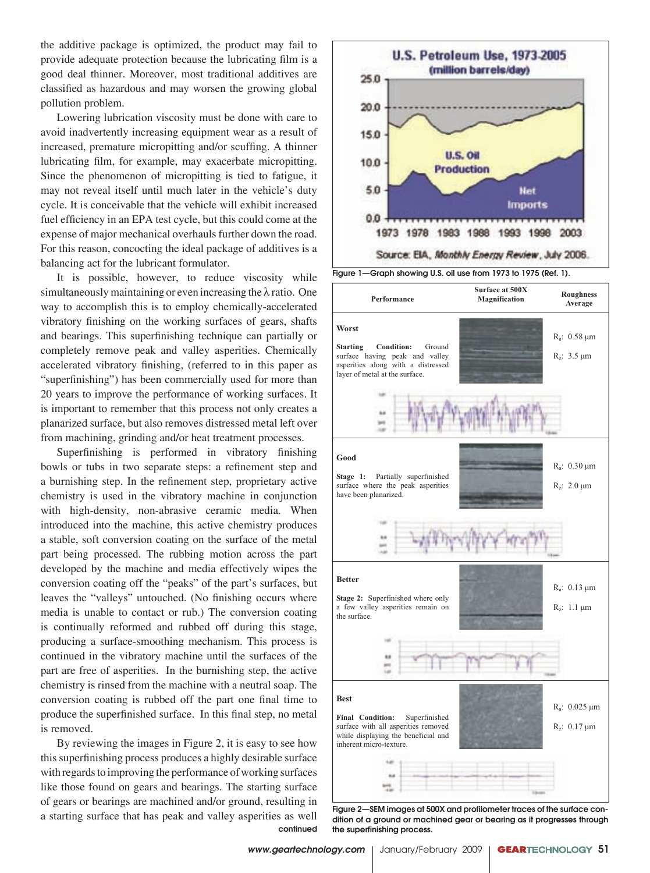the additive package is optimized, the product may fail to provide adequate protection because the lubricating film is a good deal thinner. Moreover, most traditional additives are classified as hazardous and may worsen the growing global pollution problem.

Lowering lubrication viscosity must be done with care to avoid inadvertently increasing equipment wear as a result of increased, premature micropitting and/or scuffing. A thinner lubricating film, for example, may exacerbate micropitting. Since the phenomenon of micropitting is tied to fatigue, it may not reveal itself until much later in the vehicle's duty cycle. It is conceivable that the vehicle will exhibit increased fuel efficiency in an EPA test cycle, but this could come at the expense of major mechanical overhauls further down the road. For this reason, concocting the ideal package of additives is a balancing act for the lubricant formulator.

It is possible, however, to reduce viscosity while simultaneously maintaining or even increasing the  $\lambda$  ratio. One way to accomplish this is to employ chemically-accelerated vibratory finishing on the working surfaces of gears, shafts and bearings. This superfinishing technique can partially or completely remove peak and valley asperities. Chemically accelerated vibratory finishing, (referred to in this paper as "superfinishing") has been commercially used for more than 20 years to improve the performance of working surfaces. It is important to remember that this process not only creates a planarized surface, but also removes distressed metal left over from machining, grinding and/or heat treatment processes.

Superfinishing is performed in vibratory finishing bowls or tubs in two separate steps: a refinement step and a burnishing step. In the refinement step, proprietary active chemistry is used in the vibratory machine in conjunction with high-density, non-abrasive ceramic media. When introduced into the machine, this active chemistry produces a stable, soft conversion coating on the surface of the metal part being processed. The rubbing motion across the part developed by the machine and media effectively wipes the conversion coating off the "peaks" of the part's surfaces, but leaves the "valleys" untouched. (No finishing occurs where media is unable to contact or rub.) The conversion coating is continually reformed and rubbed off during this stage, producing a surface-smoothing mechanism. This process is continued in the vibratory machine until the surfaces of the part are free of asperities. In the burnishing step, the active chemistry is rinsed from the machine with a neutral soap. The conversion coating is rubbed off the part one final time to produce the superfinished surface. In this final step, no metal is removed.

By reviewing the images in Figure 2, it is easy to see how this superfinishing process produces a highly desirable surface with regards to improving the performance of working surfaces like those found on gears and bearings. The starting surface of gears or bearings are machined and/or ground, resulting in a starting surface that has peak and valley asperities as well continued





Figure 2-SEM images at 500X and profilometer traces of the surface condition of a ground or machined gear or bearing as it progresses through the superfinishing process.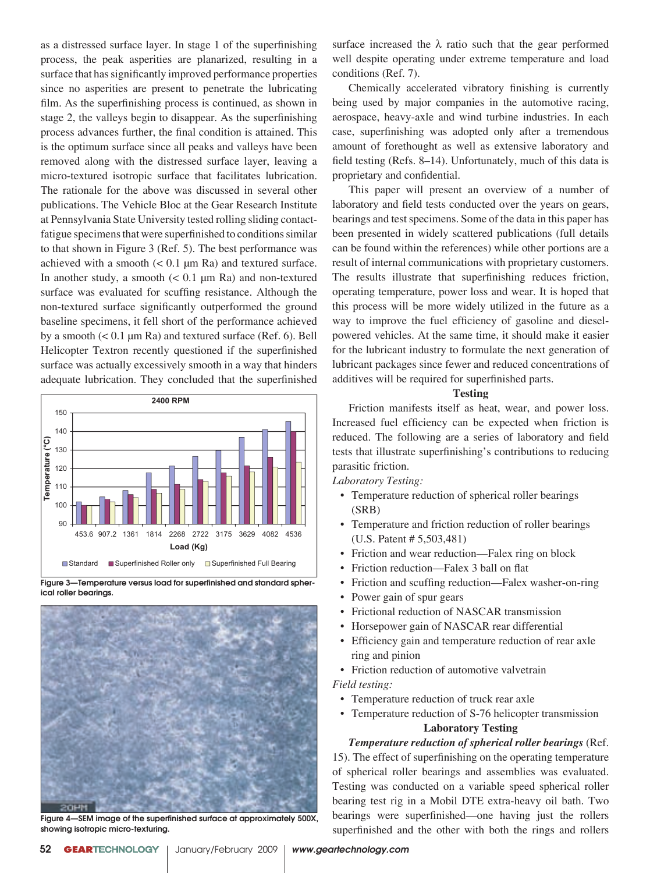as a distressed surface layer. In stage 1 of the superfinishing process, the peak asperities are planarized, resulting in a surface that has significantly improved performance properties since no asperities are present to penetrate the lubricating film. As the superfinishing process is continued, as shown in stage 2, the valleys begin to disappear. As the superfinishing process advances further, the final condition is attained. This is the optimum surface since all peaks and valleys have been removed along with the distressed surface layer, leaving a micro-textured isotropic surface that facilitates lubrication. The rationale for the above was discussed in several other publications. The Vehicle Bloc at the Gear Research Institute at Pennsylvania State University tested rolling sliding contactfatigue specimens that were superfinished to conditions similar to that shown in Figure 3 (Ref. 5). The best performance was achieved with a smooth  $(< 0.1 \mu m$  Ra) and textured surface. In another study, a smooth  $(< 0.1 \mu m$  Ra) and non-textured surface was evaluated for scuffing resistance. Although the non-textured surface significantly outperformed the ground baseline specimens, it fell short of the performance achieved by a smooth  $(< 0.1 \mu m$  Ra) and textured surface (Ref. 6). Bell Helicopter Textron recently questioned if the superfinished surface was actually excessively smooth in a way that hinders adequate lubrication. They concluded that the superfinished







Figure 4—SEM image of the superfinished surface at approximately 500X, showing isotropic micro-texturing.

surface increased the  $\lambda$  ratio such that the gear performed well despite operating under extreme temperature and load conditions (Ref. 7).

Chemically accelerated vibratory finishing is currently being used by major companies in the automotive racing, aerospace, heavy-axle and wind turbine industries. In each case, superfinishing was adopted only after a tremendous amount of forethought as well as extensive laboratory and field testing (Refs. 8–14). Unfortunately, much of this data is proprietary and confidential.

This paper will present an overview of a number of laboratory and field tests conducted over the years on gears, bearings and test specimens. Some of the data in this paper has been presented in widely scattered publications (full details can be found within the references) while other portions are a result of internal communications with proprietary customers. The results illustrate that superfinishing reduces friction, operating temperature, power loss and wear. It is hoped that this process will be more widely utilized in the future as a way to improve the fuel efficiency of gasoline and dieselpowered vehicles. At the same time, it should make it easier for the lubricant industry to formulate the next generation of lubricant packages since fewer and reduced concentrations of additives will be required for superfinished parts.

#### **Testing**

Friction manifests itself as heat, wear, and power loss. Increased fuel efficiency can be expected when friction is reduced. The following are a series of laboratory and field tests that illustrate superfinishing's contributions to reducing parasitic friction.

*Laboratory Testing:* 

- Temperature reduction of spherical roller bearings (SRB)
- Temperature and friction reduction of roller bearings (U.S. Patent # 5,503,481)
- Friction and wear reduction—Falex ring on block
- Friction reduction—Falex 3 ball on flat
- Friction and scuffing reduction—Falex washer-on-ring
- Power gain of spur gears
- Frictional reduction of NASCAR transmission
- Horsepower gain of NASCAR rear differential
- Efficiency gain and temperature reduction of rear axle ring and pinion
- Friction reduction of automotive valvetrain

#### *Field testing:*

- Temperature reduction of truck rear axle
- Temperature reduction of S-76 helicopter transmission **Laboratory Testing**

### *Temperature reduction of spherical roller bearings* (Ref.

15). The effect of superfinishing on the operating temperature of spherical roller bearings and assemblies was evaluated. Testing was conducted on a variable speed spherical roller bearing test rig in a Mobil DTE extra-heavy oil bath. Two bearings were superfinished—one having just the rollers superfinished and the other with both the rings and rollers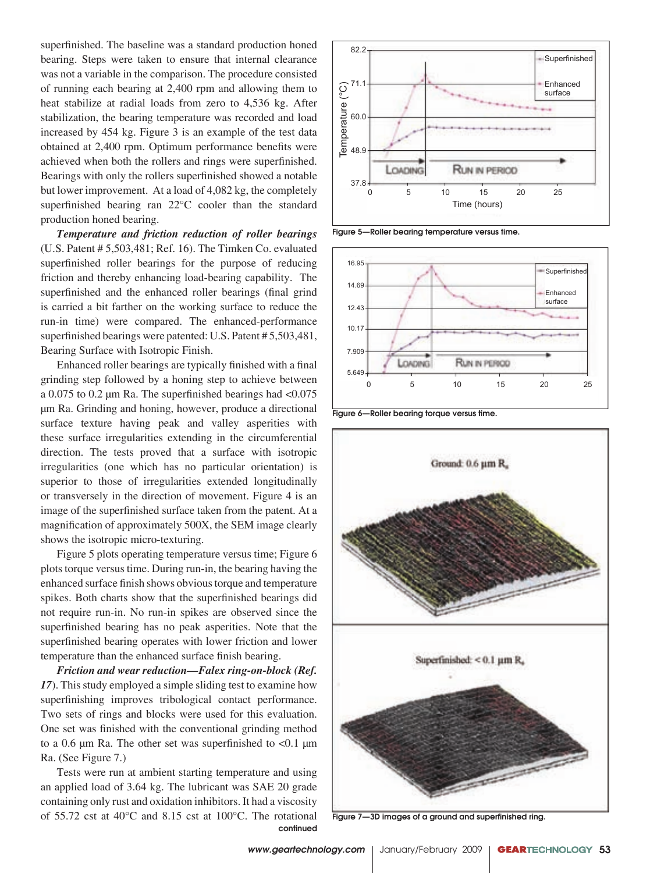superfinished. The baseline was a standard production honed bearing. Steps were taken to ensure that internal clearance was not a variable in the comparison. The procedure consisted of running each bearing at 2,400 rpm and allowing them to heat stabilize at radial loads from zero to 4,536 kg. After stabilization, the bearing temperature was recorded and load increased by 454 kg. Figure 3 is an example of the test data obtained at 2,400 rpm. Optimum performance benefits were achieved when both the rollers and rings were superfinished. Bearings with only the rollers superfinished showed a notable but lower improvement. At a load of 4,082 kg, the completely superfinished bearing ran  $22^{\circ}$ C cooler than the standard production honed bearing.

*Temperature and friction reduction of roller bearings*  (U.S. Patent # 5,503,481; Ref. 16). The Timken Co. evaluated superfinished roller bearings for the purpose of reducing friction and thereby enhancing load-bearing capability. The superfinished and the enhanced roller bearings (final grind is carried a bit farther on the working surface to reduce the run-in time) were compared. The enhanced-performance superfinished bearings were patented: U.S. Patent # 5,503,481, Bearing Surface with Isotropic Finish.

Enhanced roller bearings are typically finished with a final grinding step followed by a honing step to achieve between a  $0.075$  to  $0.2 \mu$ m Ra. The superfinished bearings had <0.075 µm Ra. Grinding and honing, however, produce a directional surface texture having peak and valley asperities with these surface irregularities extending in the circumferential direction. The tests proved that a surface with isotropic irregularities (one which has no particular orientation) is superior to those of irregularities extended longitudinally or transversely in the direction of movement. Figure 4 is an image of the superfinished surface taken from the patent. At a magnification of approximately 500X, the SEM image clearly shows the isotropic micro-texturing.

Figure 5 plots operating temperature versus time; Figure 6 plots torque versus time. During run-in, the bearing having the enhanced surface finish shows obvious torque and temperature spikes. Both charts show that the superfinished bearings did not require run-in. No run-in spikes are observed since the superfinished bearing has no peak asperities. Note that the superfinished bearing operates with lower friction and lower temperature than the enhanced surface finish bearing.

*Friction and wear reduction—Falex ring-on-block (Ref. 17*). This study employed a simple sliding test to examine how superfinishing improves tribological contact performance. Two sets of rings and blocks were used for this evaluation. One set was finished with the conventional grinding method to a 0.6  $\mu$ m Ra. The other set was superfinished to <0.1  $\mu$ m Ra. (See Figure 7.)

Tests were run at ambient starting temperature and using an applied load of 3.64 kg. The lubricant was SAE 20 grade containing only rust and oxidation inhibitors. It had a viscosity of 55.72 cst at 40°C and 8.15 cst at 100°C. The rotational continued



Figure 5—Roller bearing temperature versus time.



Figure 6—Roller bearing torque versus time.



Figure 7—3D images of a ground and superfinished ring.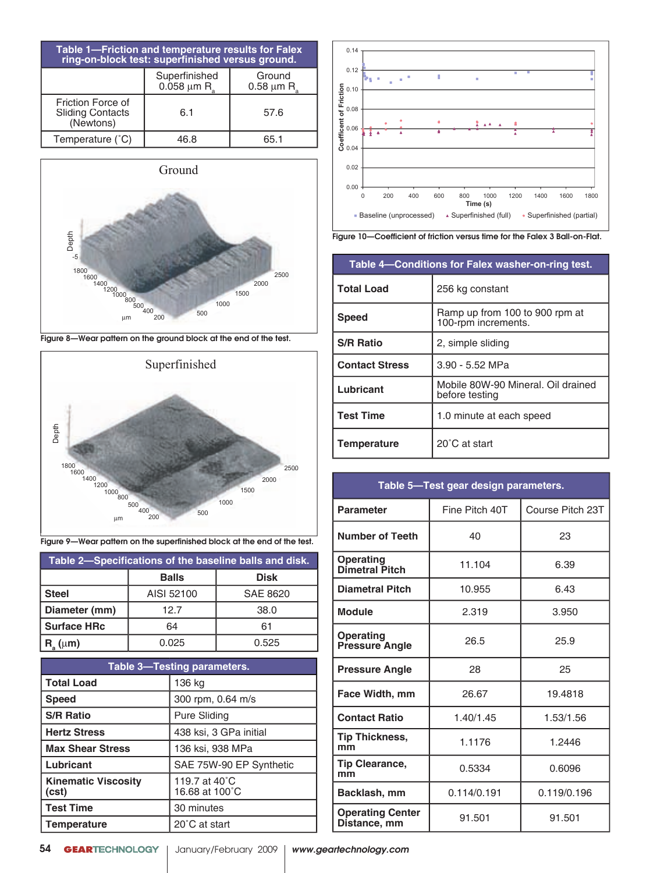| Table 1-Friction and temperature results for Falex<br>ring-on-block test: superfinished versus ground. |      |      |  |  |  |
|--------------------------------------------------------------------------------------------------------|------|------|--|--|--|
| Superfinished<br>Ground<br>0.058 $\mu$ m R<br>$0.58 \mu m R$                                           |      |      |  |  |  |
| Friction Force of<br><b>Sliding Contacts</b><br>(Newtons)                                              | 6.1  | 57.6 |  |  |  |
| Temperature (°C)                                                                                       | 46 R | 65 1 |  |  |  |



Figure 8—Wear pattern on the ground block at the end of the test.



Figure 9—Wear pattern on the superfinished block at the end of the test.

| Table 2-Specifications of the baseline balls and disk. |              |                 |  |  |
|--------------------------------------------------------|--------------|-----------------|--|--|
|                                                        | <b>Balls</b> |                 |  |  |
| <b>Steel</b>                                           | AISI 52100   | <b>SAE 8620</b> |  |  |
| Diameter (mm)                                          | 12.7         | 38.0            |  |  |
| <b>Surface HRc</b>                                     | 64           | 61              |  |  |
| $\mathbf{R}_{\mathrm{a}}$ ( $\mu$ m)                   | 0.025        | 0.525           |  |  |

| Table 3-Testing parameters.         |                                 |  |  |  |
|-------------------------------------|---------------------------------|--|--|--|
| <b>Total Load</b>                   | 136 kg                          |  |  |  |
| <b>Speed</b>                        | 300 rpm, 0.64 m/s               |  |  |  |
| <b>S/R Ratio</b>                    | Pure Sliding                    |  |  |  |
| <b>Hertz Stress</b>                 | 438 ksi, 3 GPa initial          |  |  |  |
| <b>Max Shear Stress</b>             | 136 ksi, 938 MPa                |  |  |  |
| Lubricant                           | SAE 75W-90 EP Synthetic         |  |  |  |
| <b>Kinematic Viscosity</b><br>(cst) | 119.7 at 40°C<br>16.68 at 100°C |  |  |  |
| <b>Test Time</b>                    | 30 minutes                      |  |  |  |
| <b>Temperature</b>                  | 20°C at start                   |  |  |  |



Figure 10—Coefficient of friction versus time for the Falex 3 Ball-on-Flat.

| Table 4-Conditions for Falex washer-on-ring test. |                                                       |  |  |  |
|---------------------------------------------------|-------------------------------------------------------|--|--|--|
| <b>Total Load</b>                                 | 256 kg constant                                       |  |  |  |
| <b>Speed</b>                                      | Ramp up from 100 to 900 rpm at<br>100-rpm increments. |  |  |  |
| <b>S/R Ratio</b>                                  | 2, simple sliding                                     |  |  |  |
| <b>Contact Stress</b>                             | 3.90 - 5.52 MPa                                       |  |  |  |
| Lubricant                                         | Mobile 80W-90 Mineral, Oil drained<br>before testing  |  |  |  |
| <b>Test Time</b>                                  | 1.0 minute at each speed                              |  |  |  |
| <b>Temperature</b>                                | 20°C at start                                         |  |  |  |

| Table 5-Test gear design parameters.      |                |                  |  |  |  |
|-------------------------------------------|----------------|------------------|--|--|--|
| <b>Parameter</b>                          | Fine Pitch 40T | Course Pitch 23T |  |  |  |
| <b>Number of Teeth</b>                    | 40             | 23               |  |  |  |
| <b>Operating</b><br><b>Dimetral Pitch</b> | 11.104         | 6.39             |  |  |  |
| <b>Diametral Pitch</b>                    | 10.955         | 6.43             |  |  |  |
| <b>Module</b>                             | 2.319          | 3.950            |  |  |  |
| <b>Operating</b><br><b>Pressure Angle</b> | 26.5           | 25.9             |  |  |  |
| <b>Pressure Angle</b>                     | 28             | 25               |  |  |  |
| Face Width, mm                            | 26.67          | 19.4818          |  |  |  |
| <b>Contact Ratio</b>                      | 1.40/1.45      | 1.53/1.56        |  |  |  |
| <b>Tip Thickness,</b><br>mm               | 1.1176         | 1.2446           |  |  |  |
| <b>Tip Clearance,</b><br>mm               | 0.5334         | 0.6096           |  |  |  |
| Backlash, mm                              | 0.114/0.191    | 0.119/0.196      |  |  |  |
| <b>Operating Center</b><br>Distance, mm   | 91.501         | 91.501           |  |  |  |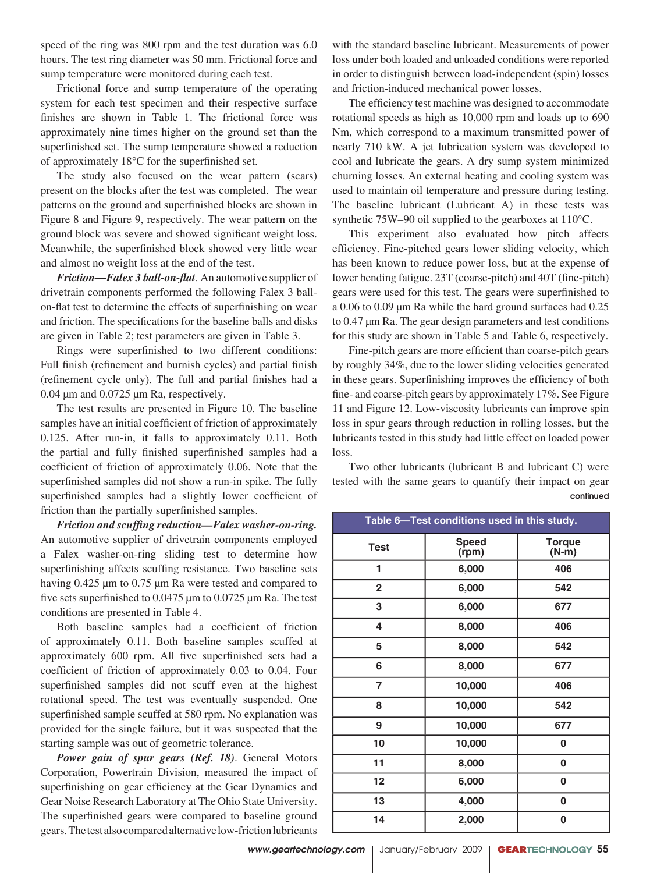speed of the ring was 800 rpm and the test duration was 6.0 hours. The test ring diameter was 50 mm. Frictional force and sump temperature were monitored during each test.

Frictional force and sump temperature of the operating system for each test specimen and their respective surface finishes are shown in Table 1. The frictional force was approximately nine times higher on the ground set than the superfinished set. The sump temperature showed a reduction of approximately  $18^{\circ}$ C for the superfinished set.

The study also focused on the wear pattern (scars) present on the blocks after the test was completed. The wear patterns on the ground and superfinished blocks are shown in Figure 8 and Figure 9, respectively. The wear pattern on the ground block was severe and showed significant weight loss. Meanwhile, the superfinished block showed very little wear and almost no weight loss at the end of the test.

*Friction—Falex 3 ball-on-flat*. An automotive supplier of drivetrain components performed the following Falex 3 ballon-flat test to determine the effects of superfinishing on wear and friction. The specifications for the baseline balls and disks are given in Table 2; test parameters are given in Table 3.

Rings were superfinished to two different conditions: Full finish (refinement and burnish cycles) and partial finish (refinement cycle only). The full and partial finishes had a 0.04 µm and 0.0725 µm Ra, respectively.

The test results are presented in Figure 10. The baseline samples have an initial coefficient of friction of approximately 0.125. After run-in, it falls to approximately 0.11. Both the partial and fully finished superfinished samples had a coefficient of friction of approximately 0.06. Note that the superfinished samples did not show a run-in spike. The fully superfinished samples had a slightly lower coefficient of friction than the partially superfinished samples.

*Friction and scuffing reduction—Falex washer-on-ring.* An automotive supplier of drivetrain components employed a Falex washer-on-ring sliding test to determine how superfinishing affects scuffing resistance. Two baseline sets having 0.425  $\mu$ m to 0.75  $\mu$ m Ra were tested and compared to five sets superfinished to  $0.0475 \mu m$  to  $0.0725 \mu m$  Ra. The test conditions are presented in Table 4.

Both baseline samples had a coefficient of friction of approximately 0.11. Both baseline samples scuffed at approximately 600 rpm. All five superfinished sets had a coefficient of friction of approximately 0.03 to 0.04. Four superfinished samples did not scuff even at the highest rotational speed. The test was eventually suspended. One superfinished sample scuffed at 580 rpm. No explanation was provided for the single failure, but it was suspected that the starting sample was out of geometric tolerance.

*Power gain of spur gears (Ref. 18)*. General Motors Corporation, Powertrain Division, measured the impact of superfinishing on gear efficiency at the Gear Dynamics and Gear Noise Research Laboratory at The Ohio State University. The superfinished gears were compared to baseline ground gears. The test also compared alternative low-friction lubricants with the standard baseline lubricant. Measurements of power loss under both loaded and unloaded conditions were reported in order to distinguish between load-independent (spin) losses and friction-induced mechanical power losses.

The efficiency test machine was designed to accommodate rotational speeds as high as 10,000 rpm and loads up to 690 Nm, which correspond to a maximum transmitted power of nearly 710 kW. A jet lubrication system was developed to cool and lubricate the gears. A dry sump system minimized churning losses. An external heating and cooling system was used to maintain oil temperature and pressure during testing. The baseline lubricant (Lubricant A) in these tests was synthetic 75W–90 oil supplied to the gearboxes at 110°C.

This experiment also evaluated how pitch affects efficiency. Fine-pitched gears lower sliding velocity, which has been known to reduce power loss, but at the expense of lower bending fatigue. 23T (coarse-pitch) and 40T (fine-pitch) gears were used for this test. The gears were superfinished to a 0.06 to 0.09 µm Ra while the hard ground surfaces had 0.25 to 0.47 µm Ra. The gear design parameters and test conditions for this study are shown in Table 5 and Table 6, respectively.

Fine-pitch gears are more efficient than coarse-pitch gears by roughly 34%, due to the lower sliding velocities generated in these gears. Superfinishing improves the efficiency of both fine- and coarse-pitch gears by approximately 17%. See Figure 11 and Figure 12. Low-viscosity lubricants can improve spin loss in spur gears through reduction in rolling losses, but the lubricants tested in this study had little effect on loaded power loss.

continued Two other lubricants (lubricant B and lubricant C) were tested with the same gears to quantify their impact on gear

| Table 6-Test conditions used in this study. |                       |                          |  |  |
|---------------------------------------------|-----------------------|--------------------------|--|--|
| <b>Test</b>                                 | <b>Speed</b><br>(rpm) | <b>Torque</b><br>$(N-m)$ |  |  |
| 1                                           | 6,000                 | 406                      |  |  |
| $\overline{\mathbf{c}}$                     | 6,000                 | 542                      |  |  |
| 3                                           | 6,000                 | 677                      |  |  |
| 4                                           | 8,000                 | 406                      |  |  |
| 5                                           | 8,000                 | 542                      |  |  |
| 6                                           | 8,000                 | 677                      |  |  |
| 7                                           | 10,000                | 406                      |  |  |
| 8                                           | 10,000                | 542                      |  |  |
| 9                                           | 10,000                | 677                      |  |  |
| 10                                          | 10,000                | 0                        |  |  |
| 11                                          | 8,000                 | 0                        |  |  |
| 12                                          | 6,000                 | 0                        |  |  |
| 13                                          | 4,000                 | 0                        |  |  |
| 14                                          | 2,000                 | 0                        |  |  |

www.geartechnology.com | January/February 2009 | GEARTECHNOLOGY 55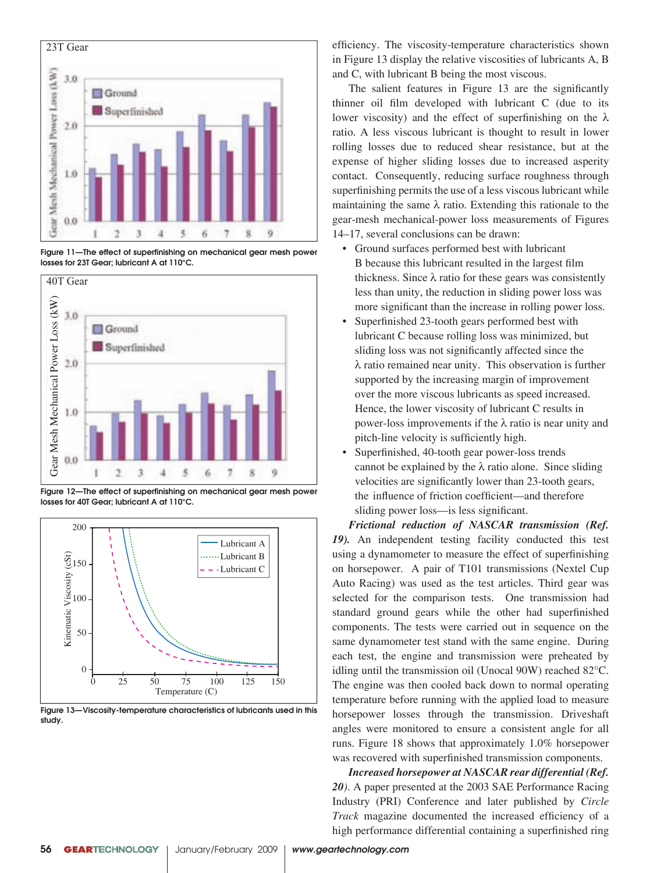

Figure 11—The effect of superfinishing on mechanical gear mesh power losses for 23T Gear; lubricant A at 110°C.



Figure 12—The effect of superfinishing on mechanical gear mesh power losses for 40T Gear; lubricant A at 110°C.



Figure 13—Viscosity-temperature characteristics of lubricants used in this study.

efficiency. The viscosity-temperature characteristics shown in Figure 13 display the relative viscosities of lubricants A, B and C, with lubricant B being the most viscous.

The salient features in Figure 13 are the significantly thinner oil film developed with lubricant  $C$  (due to its lower viscosity) and the effect of superfinishing on the  $\lambda$ ratio. A less viscous lubricant is thought to result in lower rolling losses due to reduced shear resistance, but at the expense of higher sliding losses due to increased asperity contact. Consequently, reducing surface roughness through superfinishing permits the use of a less viscous lubricant while maintaining the same  $\lambda$  ratio. Extending this rationale to the gear-mesh mechanical-power loss measurements of Figures 14–17, several conclusions can be drawn:

- Ground surfaces performed best with lubricant B because this lubricant resulted in the largest film thickness. Since  $\lambda$  ratio for these gears was consistently less than unity, the reduction in sliding power loss was more significant than the increase in rolling power loss.
- Superfinished 23-tooth gears performed best with lubricant C because rolling loss was minimized, but sliding loss was not significantly affected since the  $\lambda$  ratio remained near unity. This observation is further supported by the increasing margin of improvement over the more viscous lubricants as speed increased. Hence, the lower viscosity of lubricant C results in power-loss improvements if the  $\lambda$  ratio is near unity and pitch-line velocity is sufficiently high.
- Superfinished, 40-tooth gear power-loss trends cannot be explained by the  $\lambda$  ratio alone. Since sliding velocities are significantly lower than 23-tooth gears, the influence of friction coefficient—and therefore sliding power loss—is less significant.

*Frictional reduction of NASCAR transmission (Ref. 19).* An independent testing facility conducted this test using a dynamometer to measure the effect of superfinishing on horsepower. A pair of T101 transmissions (Nextel Cup Auto Racing) was used as the test articles. Third gear was selected for the comparison tests. One transmission had standard ground gears while the other had superfinished components. The tests were carried out in sequence on the same dynamometer test stand with the same engine. During each test, the engine and transmission were preheated by idling until the transmission oil (Unocal 90W) reached 82°C. The engine was then cooled back down to normal operating temperature before running with the applied load to measure horsepower losses through the transmission. Driveshaft angles were monitored to ensure a consistent angle for all runs. Figure 18 shows that approximately 1.0% horsepower was recovered with superfinished transmission components.

*Increased horsepower at NASCAR rear differential (Ref. 20)*. A paper presented at the 2003 SAE Performance Racing Industry (PRI) Conference and later published by *Circle Track* magazine documented the increased efficiency of a high performance differential containing a superfinished ring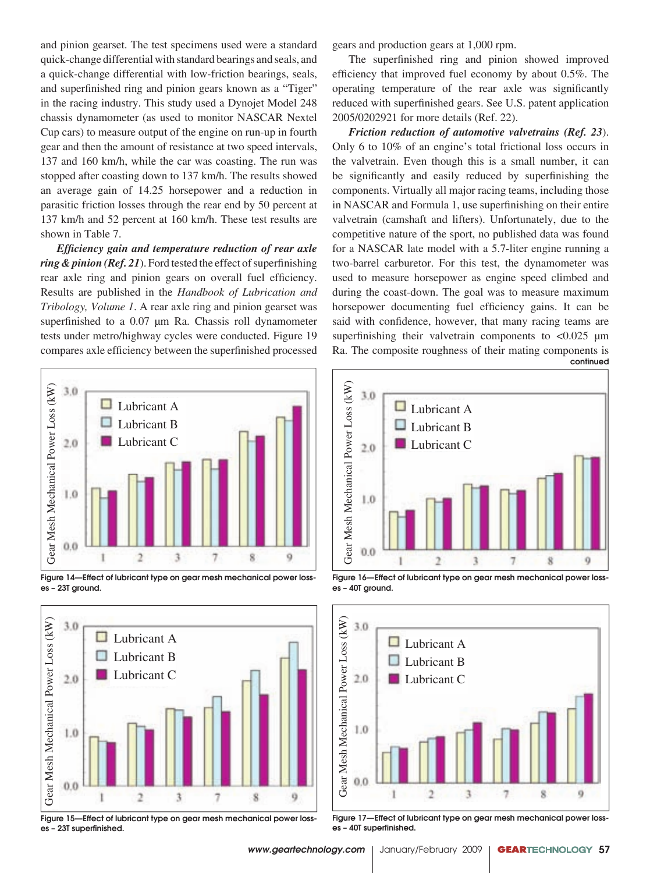and pinion gearset. The test specimens used were a standard quick-change differential with standard bearings and seals, and a quick-change differential with low-friction bearings, seals, and superfinished ring and pinion gears known as a "Tiger" in the racing industry. This study used a Dynojet Model 248 chassis dynamometer (as used to monitor NASCAR Nextel Cup cars) to measure output of the engine on run-up in fourth gear and then the amount of resistance at two speed intervals, 137 and 160 km/h, while the car was coasting. The run was stopped after coasting down to 137 km/h. The results showed an average gain of 14.25 horsepower and a reduction in parasitic friction losses through the rear end by 50 percent at 137 km/h and 52 percent at 160 km/h. These test results are shown in Table 7.

*Effi ciency gain and temperature reduction of rear axle*   $ring &$  pinion (Ref. 21). Ford tested the effect of superfinishing rear axle ring and pinion gears on overall fuel efficiency. Results are published in the *Handbook of Lubrication and Tribology, Volume 1*. A rear axle ring and pinion gearset was superfinished to a 0.07 µm Ra. Chassis roll dynamometer tests under metro/highway cycles were conducted. Figure 19 compares axle efficiency between the superfinished processed

Gear Mesh Mechanical Power Loss (kW)  $3,0$ Lubricant A Lubricant B Lubricant C  $2.0$  $1.0$  $0,0$  $\overline{2}$ 3 7 8 9





Figure 15—Effect of lubricant type on gear mesh mechanical power losses - 23T superfinished.

gears and production gears at 1,000 rpm.

The superfinished ring and pinion showed improved efficiency that improved fuel economy by about  $0.5\%$ . The operating temperature of the rear axle was significantly reduced with superfinished gears. See U.S. patent application 2005/0202921 for more details (Ref. 22).

continued *Friction reduction of automotive valvetrains (Ref. 23*). Only 6 to 10% of an engine's total frictional loss occurs in the valvetrain. Even though this is a small number, it can be significantly and easily reduced by superfinishing the components. Virtually all major racing teams, including those in NASCAR and Formula 1, use superfinishing on their entire valvetrain (camshaft and lifters). Unfortunately, due to the competitive nature of the sport, no published data was found for a NASCAR late model with a 5.7-liter engine running a two-barrel carburetor. For this test, the dynamometer was used to measure horsepower as engine speed climbed and during the coast-down. The goal was to measure maximum horsepower documenting fuel efficiency gains. It can be said with confidence, however, that many racing teams are superfinishing their valvetrain components to  $< 0.025$  µm Ra. The composite roughness of their mating components is



Figure 16—Effect of lubricant type on gear mesh mechanical power losses – 40T ground.



Figure 17—Effect of lubricant type on gear mesh mechanical power losses – 40T superfinished.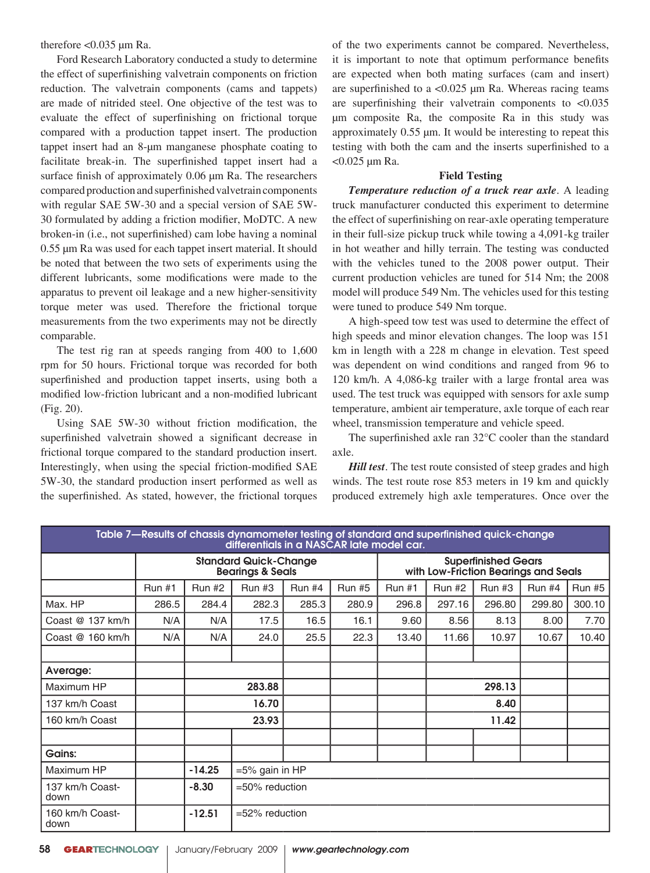therefore <0.035 µm Ra.

Ford Research Laboratory conducted a study to determine the effect of superfinishing valvetrain components on friction reduction. The valvetrain components (cams and tappets) are made of nitrided steel. One objective of the test was to evaluate the effect of superfinishing on frictional torque compared with a production tappet insert. The production tappet insert had an 8-µm manganese phosphate coating to facilitate break-in. The superfinished tappet insert had a surface finish of approximately  $0.06 \mu m$  Ra. The researchers compared production and superfinished valvetrain components with regular SAE 5W-30 and a special version of SAE 5W-30 formulated by adding a friction modifier, MoDTC. A new broken-in (i.e., not superfinished) cam lobe having a nominal 0.55 µm Ra was used for each tappet insert material. It should be noted that between the two sets of experiments using the different lubricants, some modifications were made to the apparatus to prevent oil leakage and a new higher-sensitivity torque meter was used. Therefore the frictional torque measurements from the two experiments may not be directly comparable.

The test rig ran at speeds ranging from 400 to 1,600 rpm for 50 hours. Frictional torque was recorded for both superfinished and production tappet inserts, using both a modified low-friction lubricant and a non-modified lubricant (Fig. 20).

Using SAE 5W-30 without friction modification, the superfinished valvetrain showed a significant decrease in frictional torque compared to the standard production insert. Interestingly, when using the special friction-modified SAE 5W-30, the standard production insert performed as well as the superfinished. As stated, however, the frictional torques of the two experiments cannot be compared. Nevertheless, it is important to note that optimum performance benefits are expected when both mating surfaces (cam and insert) are superfinished to a  $\langle 0.025 \mu m \rangle$  Ra. Whereas racing teams are superfinishing their valvetrain components to  $< 0.035$ µm composite Ra, the composite Ra in this study was approximately 0.55 µm. It would be interesting to repeat this testing with both the cam and the inserts superfinished to a <0.025 µm Ra.

#### **Field Testing**

*Temperature reduction of a truck rear axle*. A leading truck manufacturer conducted this experiment to determine the effect of superfinishing on rear-axle operating temperature in their full-size pickup truck while towing a 4,091-kg trailer in hot weather and hilly terrain. The testing was conducted with the vehicles tuned to the 2008 power output. Their current production vehicles are tuned for 514 Nm; the 2008 model will produce 549 Nm. The vehicles used for this testing were tuned to produce 549 Nm torque.

A high-speed tow test was used to determine the effect of high speeds and minor elevation changes. The loop was 151 km in length with a 228 m change in elevation. Test speed was dependent on wind conditions and ranged from 96 to 120 km/h. A 4,086-kg trailer with a large frontal area was used. The test truck was equipped with sensors for axle sump temperature, ambient air temperature, axle torque of each rear wheel, transmission temperature and vehicle speed.

The superfinished axle ran  $32^{\circ}$ C cooler than the standard axle.

*Hill test*. The test route consisted of steep grades and high winds. The test route rose 853 meters in 19 km and quickly produced extremely high axle temperatures. Once over the

| Table 7—Results of chassis dynamometer testing of standard and superfinished quick-change<br>differentials in a NASCAR late model car. |                                                             |               |                   |                                                                    |               |       |               |               |               |               |
|----------------------------------------------------------------------------------------------------------------------------------------|-------------------------------------------------------------|---------------|-------------------|--------------------------------------------------------------------|---------------|-------|---------------|---------------|---------------|---------------|
|                                                                                                                                        | <b>Standard Quick-Change</b><br><b>Bearings &amp; Seals</b> |               |                   | <b>Superfinished Gears</b><br>with Low-Friction Bearings and Seals |               |       |               |               |               |               |
|                                                                                                                                        | <b>Run #1</b>                                               | <b>Run #2</b> | <b>Run #3</b>     | Run#4                                                              | <b>Run #5</b> | Run#1 | <b>Run #2</b> | <b>Run #3</b> | <b>Run #4</b> | <b>Run #5</b> |
| Max. HP                                                                                                                                | 286.5                                                       | 284.4         | 282.3             | 285.3                                                              | 280.9         | 296.8 | 297.16        | 296.80        | 299.80        | 300.10        |
| Coast @ 137 km/h                                                                                                                       | N/A                                                         | N/A           | 17.5              | 16.5                                                               | 16.1          | 9.60  | 8.56          | 8.13          | 8.00          | 7.70          |
| Coast @ 160 km/h                                                                                                                       | N/A                                                         | N/A           | 24.0              | 25.5                                                               | 22.3          | 13.40 | 11.66         | 10.97         | 10.67         | 10.40         |
|                                                                                                                                        |                                                             |               |                   |                                                                    |               |       |               |               |               |               |
| Average:                                                                                                                               |                                                             |               |                   |                                                                    |               |       |               |               |               |               |
| Maximum HP                                                                                                                             |                                                             |               | 283.88            |                                                                    |               |       |               | 298.13        |               |               |
| 137 km/h Coast                                                                                                                         |                                                             |               | 16.70             |                                                                    |               |       |               | 8.40          |               |               |
| 160 km/h Coast                                                                                                                         |                                                             |               | 23.93             |                                                                    |               |       |               | 11.42         |               |               |
|                                                                                                                                        |                                                             |               |                   |                                                                    |               |       |               |               |               |               |
| Gains:                                                                                                                                 |                                                             |               |                   |                                                                    |               |       |               |               |               |               |
| Maximum HP                                                                                                                             |                                                             | $-14.25$      | $=5\%$ gain in HP |                                                                    |               |       |               |               |               |               |
| 137 km/h Coast-<br>down                                                                                                                |                                                             | $-8.30$       | $=50\%$ reduction |                                                                    |               |       |               |               |               |               |
| 160 km/h Coast-<br>down                                                                                                                |                                                             | $-12.51$      | $=52\%$ reduction |                                                                    |               |       |               |               |               |               |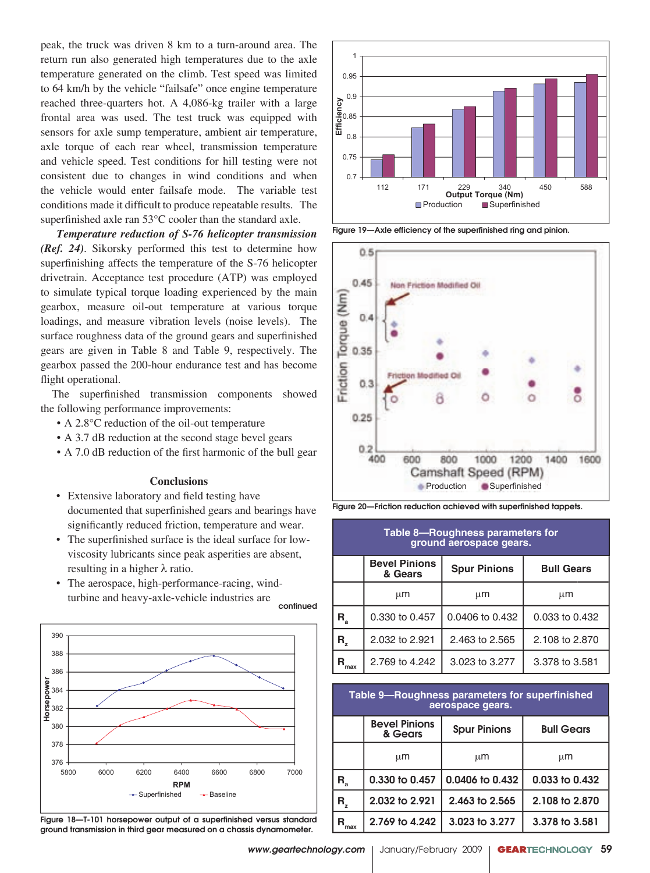peak, the truck was driven 8 km to a turn-around area. The return run also generated high temperatures due to the axle temperature generated on the climb. Test speed was limited to 64 km/h by the vehicle "failsafe" once engine temperature reached three-quarters hot. A 4,086-kg trailer with a large frontal area was used. The test truck was equipped with sensors for axle sump temperature, ambient air temperature, axle torque of each rear wheel, transmission temperature and vehicle speed. Test conditions for hill testing were not consistent due to changes in wind conditions and when the vehicle would enter failsafe mode. The variable test conditions made it difficult to produce repeatable results. The superfinished axle ran  $53^{\circ}$ C cooler than the standard axle.

*Temperature reduction of S-76 helicopter transmission (Ref. 24)*. Sikorsky performed this test to determine how superfinishing affects the temperature of the S-76 helicopter drivetrain. Acceptance test procedure (ATP) was employed to simulate typical torque loading experienced by the main gearbox, measure oil-out temperature at various torque loadings, and measure vibration levels (noise levels). The surface roughness data of the ground gears and superfinished gears are given in Table 8 and Table 9, respectively. The gearbox passed the 200-hour endurance test and has become flight operational.

The superfinished transmission components showed the following performance improvements:

- A 2.8°C reduction of the oil-out temperature
- A 3.7 dB reduction at the second stage bevel gears
- A 7.0 dB reduction of the first harmonic of the bull gear

#### **Conclusions**

- Extensive laboratory and field testing have documented that superfinished gears and bearings have significantly reduced friction, temperature and wear.
- The superfinished surface is the ideal surface for low viscosity lubricants since peak asperities are absent, resulting in a higher  $\lambda$  ratio.
- continued • The aerospace, high-performance-racing, wind turbine and heavy-axle-vehicle industries are



Figure 18—T-101 horsepower output of a superfinished versus standard ground transmission in third gear measured on a chassis dynamometer.



Figure 19—Axle efficiency of the superfinished ring and pinion.



Figure 20—Friction reduction achieved with superfinished tappets.

| Table 8-Roughness parameters for<br>ground aerospace gears. |                                                                             |                 |                |  |  |
|-------------------------------------------------------------|-----------------------------------------------------------------------------|-----------------|----------------|--|--|
|                                                             | <b>Bevel Pinions</b><br><b>Spur Pinions</b><br><b>Bull Gears</b><br>& Gears |                 |                |  |  |
|                                                             | μm                                                                          | սՠ              | μm             |  |  |
| $R_{\rm a}$                                                 | 0.330 to 0.457                                                              | 0.0406 to 0.432 | 0.033 to 0.432 |  |  |
| $R_{z}$                                                     | 2.032 to 2.921                                                              | 2.463 to 2.565  | 2.108 to 2.870 |  |  |
| max                                                         | 2.769 to 4.242                                                              | 3.023 to 3.277  | 3.378 to 3.581 |  |  |

| Table 9—Roughness parameters for superfinished<br>aerospace gears. |                                                                             |                 |                |  |
|--------------------------------------------------------------------|-----------------------------------------------------------------------------|-----------------|----------------|--|
|                                                                    | <b>Bevel Pinions</b><br><b>Spur Pinions</b><br><b>Bull Gears</b><br>& Gears |                 |                |  |
|                                                                    | μm                                                                          | μm              | μm             |  |
| R.                                                                 | 0.330 to 0.457                                                              | 0.0406 to 0.432 | 0.033 to 0.432 |  |
| $R_{\rm z}$                                                        | 2.032 to 2.921                                                              | 2.463 to 2.565  | 2.108 to 2.870 |  |
| max                                                                | 2.769 to 4.242                                                              | 3.023 to 3.277  | 3.378 to 3.581 |  |